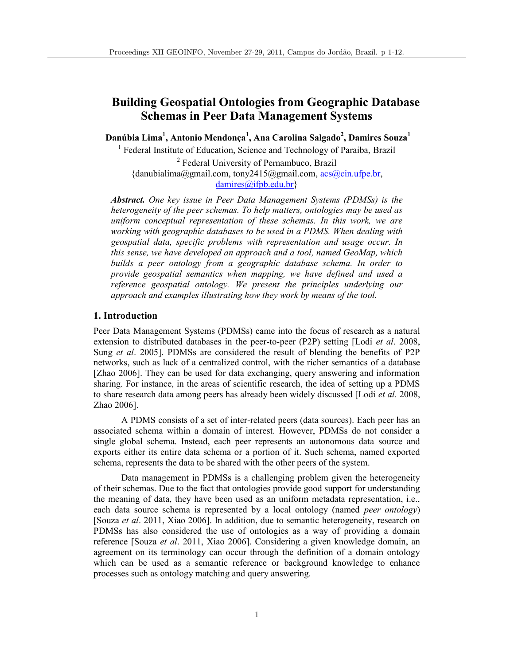# **Building Geospatial Ontologies from Geographic Database Schemas in Peer Data Management Systems**

**Danúbia Lima<sup>1</sup> , Antonio Mendonça<sup>1</sup> , Ana Carolina Salgado<sup>2</sup> , Damires Souza<sup>1</sup>**

<sup>1</sup> Federal Institute of Education, Science and Technology of Paraiba, Brazil

<sup>2</sup> Federal University of Pernambuco, Brazil {danubialima@gmail.com, tony2415@gmail.com, acs@cin.ufpe.br, damires@ifpb.edu.br}

*Abstract. One key issue in Peer Data Management Systems (PDMSs) is the heterogeneity of the peer schemas. To help matters, ontologies may be used as uniform conceptual representation of these schemas. In this work, we are working with geographic databases to be used in a PDMS. When dealing with geospatial data, specific problems with representation and usage occur. In this sense, we have developed an approach and a tool, named GeoMap, which builds a peer ontology from a geographic database schema. In order to provide geospatial semantics when mapping, we have defined and used a*  reference geospatial ontology. We present the principles underlying our *approach and examples illustrating how they work by means of the tool.* 

## **1. Introduction**

Peer Data Management Systems (PDMSs) came into the focus of research as a natural extension to distributed databases in the peer-to-peer (P2P) setting [Lodi *et al*. 2008, Sung *et al*. 2005]. PDMSs are considered the result of blending the benefits of P2P networks, such as lack of a centralized control, with the richer semantics of a database [Zhao 2006]. They can be used for data exchanging, query answering and information sharing. For instance, in the areas of scientific research, the idea of setting up a PDMS to share research data among peers has already been widely discussed [Lodi *et al*. 2008, Zhao 2006].

A PDMS consists of a set of inter-related peers (data sources). Each peer has an associated schema within a domain of interest. However, PDMSs do not consider a single global schema. Instead, each peer represents an autonomous data source and exports either its entire data schema or a portion of it. Such schema, named exported schema, represents the data to be shared with the other peers of the system.

Data management in PDMSs is a challenging problem given the heterogeneity of their schemas. Due to the fact that ontologies provide good support for understanding the meaning of data, they have been used as an uniform metadata representation, i.e., each data source schema is represented by a local ontology (named *peer ontology*) [Souza *et al*. 2011, Xiao 2006]. In addition, due to semantic heterogeneity, research on PDMSs has also considered the use of ontologies as a way of providing a domain reference [Souza *et al*. 2011, Xiao 2006]. Considering a given knowledge domain, an agreement on its terminology can occur through the definition of a domain ontology which can be used as a semantic reference or background knowledge to enhance processes such as ontology matching and query answering.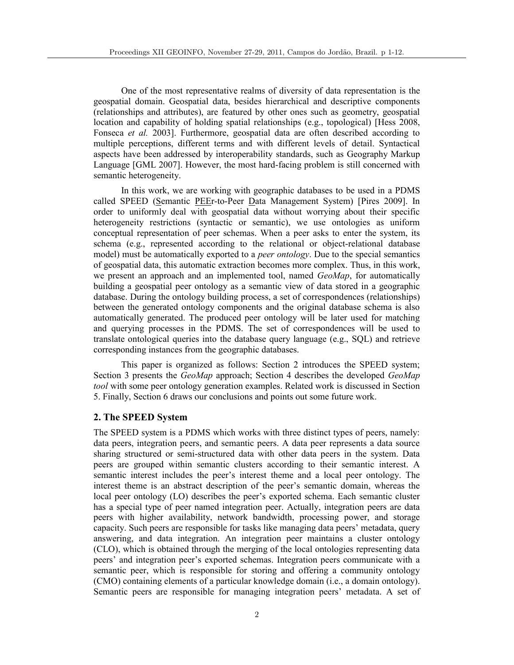One of the most representative realms of diversity of data representation is the geospatial domain. Geospatial data, besides hierarchical and descriptive components (relationships and attributes), are featured by other ones such as geometry, geospatial location and capability of holding spatial relationships (e.g., topological) [Hess 2008, Fonseca *et al.* 2003]. Furthermore, geospatial data are often described according to multiple perceptions, different terms and with different levels of detail. Syntactical aspects have been addressed by interoperability standards, such as Geography Markup Language [GML 2007]. However, the most hard-facing problem is still concerned with semantic heterogeneity.

In this work, we are working with geographic databases to be used in a PDMS called SPEED (Semantic PEEr-to-Peer Data Management System) [Pires 2009]. In order to uniformly deal with geospatial data without worrying about their specific heterogeneity restrictions (syntactic or semantic), we use ontologies as uniform conceptual representation of peer schemas. When a peer asks to enter the system, its schema (e.g., represented according to the relational or object-relational database model) must be automatically exported to a *peer ontology*. Due to the special semantics of geospatial data, this automatic extraction becomes more complex. Thus, in this work, we present an approach and an implemented tool, named *GeoMap*, for automatically building a geospatial peer ontology as a semantic view of data stored in a geographic database. During the ontology building process, a set of correspondences (relationships) between the generated ontology components and the original database schema is also automatically generated. The produced peer ontology will be later used for matching and querying processes in the PDMS. The set of correspondences will be used to translate ontological queries into the database query language (e.g., SQL) and retrieve corresponding instances from the geographic databases.

This paper is organized as follows: Section 2 introduces the SPEED system; Section 3 presents the *GeoMap* approach; Section 4 describes the developed *GeoMap tool* with some peer ontology generation examples. Related work is discussed in Section 5. Finally, Section 6 draws our conclusions and points out some future work.

# **2. The SPEED System**

The SPEED system is a PDMS which works with three distinct types of peers, namely: data peers, integration peers, and semantic peers. A data peer represents a data source sharing structured or semi-structured data with other data peers in the system. Data peers are grouped within semantic clusters according to their semantic interest. A semantic interest includes the peer's interest theme and a local peer ontology. The interest theme is an abstract description of the peer's semantic domain, whereas the local peer ontology (LO) describes the peer's exported schema. Each semantic cluster has a special type of peer named integration peer. Actually, integration peers are data peers with higher availability, network bandwidth, processing power, and storage capacity. Such peers are responsible for tasks like managing data peers' metadata, query answering, and data integration. An integration peer maintains a cluster ontology (CLO), which is obtained through the merging of the local ontologies representing data peers' and integration peer's exported schemas. Integration peers communicate with a semantic peer, which is responsible for storing and offering a community ontology (CMO) containing elements of a particular knowledge domain (i.e., a domain ontology). Semantic peers are responsible for managing integration peers' metadata. A set of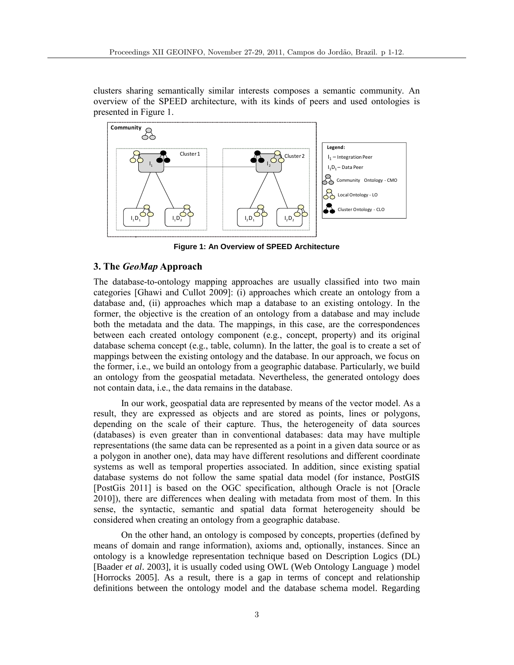clusters sharing semantically similar interests composes a semantic community. An overview of the SPEED architecture, with its kinds of peers and used ontologies is presented in Figure 1.



**Figure 1: An Overview of SPEED Architecture**

## **3. The** *GeoMap* **Approach**

The database-to-ontology mapping approaches are usually classified into two main categories [Ghawi and Cullot 2009]: (i) approaches which create an ontology from a database and, (ii) approaches which map a database to an existing ontology. In the former, the objective is the creation of an ontology from a database and may include both the metadata and the data. The mappings, in this case, are the correspondences between each created ontology component (e.g., concept, property) and its original database schema concept (e.g., table, column). In the latter, the goal is to create a set of mappings between the existing ontology and the database. In our approach, we focus on the former, i.e., we build an ontology from a geographic database. Particularly, we build an ontology from the geospatial metadata. Nevertheless, the generated ontology does not contain data, i.e., the data remains in the database.

In our work, geospatial data are represented by means of the vector model. As a result, they are expressed as objects and are stored as points, lines or polygons, depending on the scale of their capture. Thus, the heterogeneity of data sources (databases) is even greater than in conventional databases: data may have multiple representations (the same data can be represented as a point in a given data source or as a polygon in another one), data may have different resolutions and different coordinate systems as well as temporal properties associated. In addition, since existing spatial database systems do not follow the same spatial data model (for instance, PostGIS [PostGis 2011] is based on the OGC specification, although Oracle is not [Oracle 2010]), there are differences when dealing with metadata from most of them. In this sense, the syntactic, semantic and spatial data format heterogeneity should be considered when creating an ontology from a geographic database.

On the other hand, an ontology is composed by concepts, properties (defined by means of domain and range information), axioms and, optionally, instances. Since an ontology is a knowledge representation technique based on Description Logics (DL) [Baader *et al*. 2003], it is usually coded using OWL (Web Ontology Language ) model [Horrocks 2005]. As a result, there is a gap in terms of concept and relationship definitions between the ontology model and the database schema model. Regarding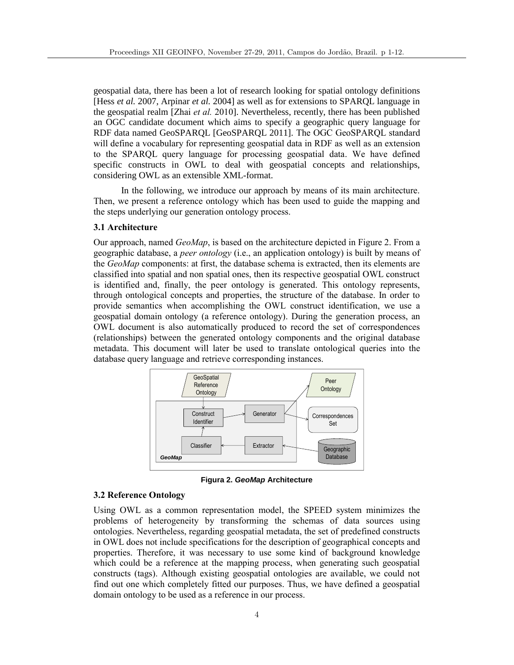geospatial data, there has been a lot of research looking for spatial ontology definitions [Hess *et al.* 2007, Arpinar *et al.* 2004] as well as for extensions to SPARQL language in the geospatial realm [Zhai *et al.* 2010]. Nevertheless, recently, there has been published an OGC candidate document which aims to specify a geographic query language for RDF data named GeoSPARQL [GeoSPARQL 2011]. The OGC GeoSPARQL standard will define a vocabulary for representing geospatial data in RDF as well as an extension to the SPARQL query language for processing geospatial data. We have defined specific constructs in OWL to deal with geospatial concepts and relationships, considering OWL as an extensible XML-format.

In the following, we introduce our approach by means of its main architecture. Then, we present a reference ontology which has been used to guide the mapping and the steps underlying our generation ontology process.

### **3.1 Architecture**

Our approach, named *GeoMap*, is based on the architecture depicted in Figure 2. From a geographic database, a *peer ontology* (i.e., an application ontology) is built by means of the *GeoMap* components: at first, the database schema is extracted, then its elements are classified into spatial and non spatial ones, then its respective geospatial OWL construct is identified and, finally, the peer ontology is generated. This ontology represents, through ontological concepts and properties, the structure of the database. In order to provide semantics when accomplishing the OWL construct identification, we use a geospatial domain ontology (a reference ontology). During the generation process, an OWL document is also automatically produced to record the set of correspondences (relationships) between the generated ontology components and the original database metadata. This document will later be used to translate ontological queries into the database query language and retrieve corresponding instances.



**Figura 2.** *GeoMap* **Architecture**

### **3.2 Reference Ontology**

Using OWL as a common representation model, the SPEED system minimizes the problems of heterogeneity by transforming the schemas of data sources using ontologies. Nevertheless, regarding geospatial metadata, the set of predefined constructs in OWL does not include specifications for the description of geographical concepts and properties. Therefore, it was necessary to use some kind of background knowledge which could be a reference at the mapping process, when generating such geospatial constructs (tags). Although existing geospatial ontologies are available, we could not find out one which completely fitted our purposes. Thus, we have defined a geospatial domain ontology to be used as a reference in our process.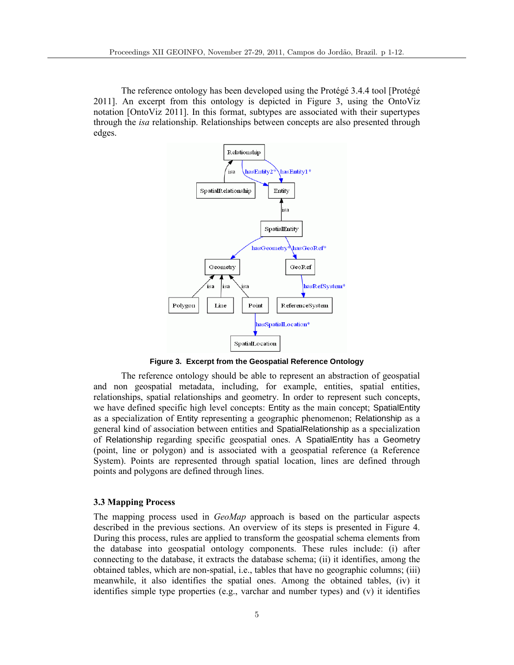The reference ontology has been developed using the Protégé 3.4.4 tool [Protégé 2011]. An excerpt from this ontology is depicted in Figure 3, using the OntoViz notation [OntoViz 2011]. In this format, subtypes are associated with their supertypes through the *isa* relationship. Relationships between concepts are also presented through edges.



**Figure 3. Excerpt from the Geospatial Reference Ontology**

The reference ontology should be able to represent an abstraction of geospatial and non geospatial metadata, including, for example, entities, spatial entities, relationships, spatial relationships and geometry. In order to represent such concepts, we have defined specific high level concepts: Entity as the main concept; SpatialEntity as a specialization of Entity representing a geographic phenomenon; Relationship as a general kind of association between entities and SpatialRelationship as a specialization of Relationship regarding specific geospatial ones. A SpatialEntity has a Geometry (point, line or polygon) and is associated with a geospatial reference (a Reference System). Points are represented through spatial location, lines are defined through points and polygons are defined through lines.

#### **3.3 Mapping Process**

The mapping process used in *GeoMap* approach is based on the particular aspects described in the previous sections. An overview of its steps is presented in Figure 4. During this process, rules are applied to transform the geospatial schema elements from the database into geospatial ontology components. These rules include: (i) after connecting to the database, it extracts the database schema; (ii) it identifies, among the obtained tables, which are non-spatial, i.e., tables that have no geographic columns; (iii) meanwhile, it also identifies the spatial ones. Among the obtained tables, (iv) it identifies simple type properties (e.g., varchar and number types) and (v) it identifies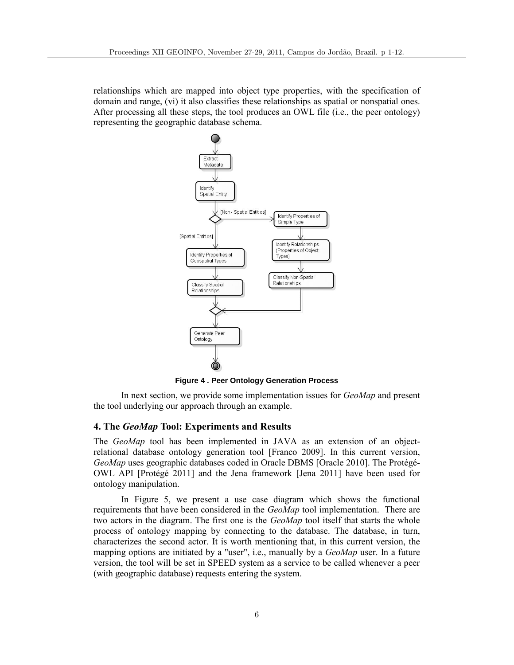relationships which are mapped into object type properties, with the specification of domain and range, (vi) it also classifies these relationships as spatial or nonspatial ones. After processing all these steps, the tool produces an OWL file (i.e., the peer ontology) representing the geographic database schema.



**Figure 4 . Peer Ontology Generation Process**

In next section, we provide some implementation issues for *GeoMap* and present the tool underlying our approach through an example.

#### **4. The** *GeoMap* **Tool: Experiments and Results**

The *GeoMap* tool has been implemented in JAVA as an extension of an objectrelational database ontology generation tool [Franco 2009]. In this current version, *GeoMap* uses geographic databases coded in Oracle DBMS [Oracle 2010]. The Protégé-OWL API [Protégé 2011] and the Jena framework [Jena 2011] have been used for ontology manipulation.

In Figure 5, we present a use case diagram which shows the functional requirements that have been considered in the *GeoMap* tool implementation. There are two actors in the diagram. The first one is the *GeoMap* tool itself that starts the whole process of ontology mapping by connecting to the database. The database, in turn, characterizes the second actor. It is worth mentioning that, in this current version, the mapping options are initiated by a "user", i.e., manually by a *GeoMap* user. In a future version, the tool will be set in SPEED system as a service to be called whenever a peer (with geographic database) requests entering the system.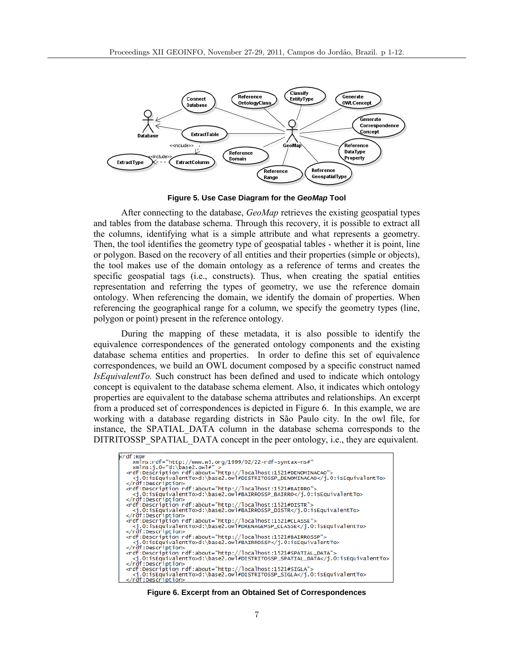

**Figure 5. Use Case Diagram for the** *GeoMap* **Tool**

After connecting to the database, *GeoMap* retrieves the existing geospatial types and tables from the database schema. Through this recovery, it is possible to extract all the columns, identifying what is a simple attribute and what represents a geometry. Then, the tool identifies the geometry type of geospatial tables - whether it is point, line or polygon. Based on the recovery of all entities and their properties (simple or objects), the tool makes use of the domain ontology as a reference of terms and creates the specific geospatial tags (i.e., constructs). Thus, when creating the spatial entities representation and referring the types of geometry, we use the reference domain ontology. When referencing the domain, we identify the domain of properties. When referencing the geographical range for a column, we specify the geometry types (line, polygon or point) present in the reference ontology.

During the mapping of these metadata, it is also possible to identify the equivalence correspondences of the generated ontology components and the existing database schema entities and properties. In order to define this set of equivalence correspondences, we build an OWL document composed by a specific construct named *IsEquivalentTo.* Such construct has been defined and used to indicate which ontology concept is equivalent to the database schema element. Also, it indicates which ontology properties are equivalent to the database schema attributes and relationships. An excerpt from a produced set of correspondences is depicted in Figure 6. In this example, we are working with a database regarding districts in São Paulo city. In the owl file, for instance, the SPATIAL\_DATA column in the database schema corresponds to the DITRITOSSP\_SPATIAL\_DATA concept in the peer ontology, i.e., they are equivalent.

| krdf:RDF                                                                           |  |
|------------------------------------------------------------------------------------|--|
| xmlns:rdf="http://www.w3.org/1999/02/22-rdf-syntax-ns#"                            |  |
| $xmlns:j.0="d:\bases2.owl#" >$                                                     |  |
| <rdf:description rdf:about="http://localhost:1521#DENOMINACAO"></rdf:description>  |  |
| <i.0:isequivalentto>d:\base2.owl#DISTRITOSSP_DENOMINACAO</i.0:isequivalentto>      |  |
|                                                                                    |  |
| <rdf:description rdf:about="http://localhost:1521#BAIRRO"></rdf:description>       |  |
| <i.0:isequivalentto>d:\base2.owl#BAIRROSSP_BAIRRO</i.0:isequivalentto>             |  |
|                                                                                    |  |
| <rdf:description rdf:about="http://localhost:1521#DISTR"></rdf:description>        |  |
| <i.0:isequivalentto>d:\base2.owl#BAIRROSSP_DISTR</i.0:isequivalentto>              |  |
|                                                                                    |  |
| <rdf:description rdf:about="http://localhost:1521#CLASSE"></rdf:description>       |  |
| <i.0:isequivalentto>d:\base2.owl#DRENAGEMSP_CLASSE</i.0:isequivalentto>            |  |
|                                                                                    |  |
| <rdf:description rdf:about="http://localhost:1521#BAIRROSSP"></rdf:description>    |  |
| <j.0:isequivalentto>d:\base2.owl#BAIRROSSP</j.0:isequivalentto>                    |  |
|                                                                                    |  |
| <rdf:description rdf:about="http://localhost:1521#SPATIAL_DATA"></rdf:description> |  |
| <j.0:isequivalentto>d:\base2.owl#DISTRITOSSP_SPATIAL_DATA</j.0:isequivalentto>     |  |
|                                                                                    |  |
| <rdf:description rdf:about="http://localhost:1521#SIGLA"></rdf:description>        |  |
| <j.0:isequivalentto>d:\base2.owl#DISTRITOSSP_SIGLA</j.0:isequivalentto>            |  |
| $\langle$ rdf:Description>                                                         |  |

**Figure 6. Excerpt from an Obtained Set of Correspondences**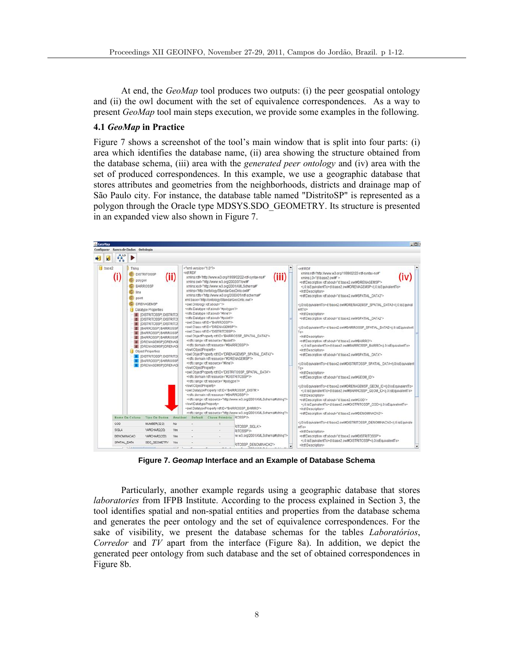At end, the *GeoMap* tool produces two outputs: (i) the peer geospatial ontology and (ii) the owl document with the set of equivalence correspondences. As a way to present *GeoMap* tool main steps execution, we provide some examples in the following.

#### **4.1** *GeoMap* **in Practice**

Figure 7 shows a screenshot of the tool's main window that is split into four parts: (i) area which identifies the database name, (ii) area showing the structure obtained from the database schema, (iii) area with the *generated peer ontology* and (iv) area with the set of produced correspondences. In this example, we use a geographic database that stores attributes and geometries from the neighborhoods, districts and drainage map of São Paulo city. For instance, the database table named "DistritoSP" is represented as a polygon through the Oracle type MDSYS.SDO\_GEOMETRY. Its structure is presented in an expanded view also shown in Figure 7.



**Figure 7.** *Geomap* **Interface and an Example of Database Schema** 

Particularly, another example regards using a geographic database that stores *laboratories* from IFPB Institute. According to the process explained in Section 3, the tool identifies spatial and non-spatial entities and properties from the database schema and generates the peer ontology and the set of equivalence correspondences. For the sake of visibility, we present the database schemas for the tables *Laboratórios*, *Corredor* and *TV* apart from the interface (Figure 8a). In addition, we depict the generated peer ontology from such database and the set of obtained correspondences in Figure 8b.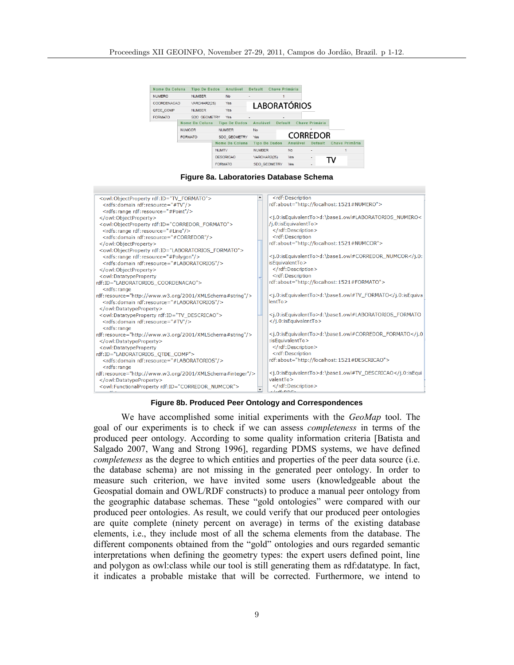| <b>Tipo De Dados</b><br>Nome Da Coluna |         |                | Anulável         | Default              |                |                      | Chave Primária           |           |                |                 |                |  |
|----------------------------------------|---------|----------------|------------------|----------------------|----------------|----------------------|--------------------------|-----------|----------------|-----------------|----------------|--|
| <b>NUMERO</b>                          |         | <b>NUMBER</b>  |                  | <b>No</b>            | ٠              |                      |                          |           |                |                 |                |  |
| COORDENACAO                            |         | VARCHAR2(25)   |                  | Yes                  |                | <b>LABORATÓRIOS</b>  |                          |           |                |                 |                |  |
| QTDE COMP                              |         | <b>NUMBER</b>  |                  | Yes                  |                |                      |                          |           |                |                 |                |  |
| <b>FORMATO</b>                         |         | SDO GEOMETRY   |                  | Yes                  | $\blacksquare$ |                      | $\overline{\phantom{a}}$ |           |                |                 |                |  |
|                                        |         | Nome Da Coluna |                  | <b>Tipo De Dados</b> |                | Anulável             | <b>Default</b>           |           | Chave Primária |                 |                |  |
|                                        | NUMCOR. |                | <b>NUMBER</b>    |                      | No.            |                      |                          |           |                |                 |                |  |
|                                        |         | <b>FORMATO</b> |                  | SDO GEOMETRY         | Yes            |                      |                          |           |                | <b>CORREDOR</b> |                |  |
|                                        |         |                |                  | Nome Da Coluna       |                | <b>Tipo De Dados</b> |                          | Anulável  |                | <b>Default</b>  | Chave Primária |  |
|                                        |         |                | <b>NUMTV</b>     |                      |                | <b>NUMBER</b>        |                          | <b>No</b> | ٠              |                 |                |  |
|                                        |         |                | <b>DESCRICAO</b> |                      | VARCHAR2(25)   |                      | Yes                      | ۰         |                |                 |                |  |
|                                        |         |                |                  | <b>FORMATO</b>       |                | SDO GEOMETRY         |                          | Yes       | ۰              |                 |                |  |
|                                        |         |                |                  |                      |                |                      |                          |           |                |                 |                |  |

**Figure 8a. Laboratories Database Schema** 



#### **Figure 8b. Produced Peer Ontology and Correspondences**

We have accomplished some initial experiments with the *GeoMap* tool. The goal of our experiments is to check if we can assess *completeness* in terms of the produced peer ontology. According to some quality information criteria [Batista and Salgado 2007, Wang and Strong 1996], regarding PDMS systems, we have defined *completeness* as the degree to which entities and properties of the peer data source (i.e. the database schema) are not missing in the generated peer ontology. In order to measure such criterion, we have invited some users (knowledgeable about the Geospatial domain and OWL/RDF constructs) to produce a manual peer ontology from the geographic database schemas. These "gold ontologies" were compared with our produced peer ontologies. As result, we could verify that our produced peer ontologies are quite complete (ninety percent on average) in terms of the existing database elements, i.e., they include most of all the schema elements from the database. The different components obtained from the "gold" ontologies and ours regarded semantic interpretations when defining the geometry types: the expert users defined point, line and polygon as owl:class while our tool is still generating them as rdf:datatype. In fact, it indicates a probable mistake that will be corrected. Furthermore, we intend to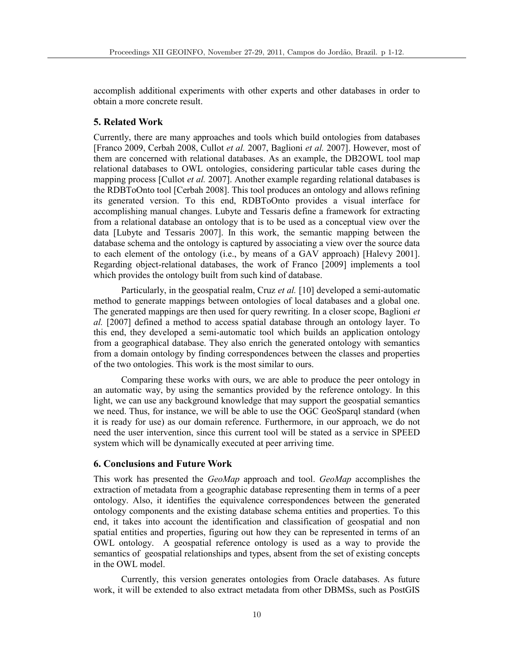accomplish additional experiments with other experts and other databases in order to obtain a more concrete result.

#### **5. Related Work**

Currently, there are many approaches and tools which build ontologies from databases [Franco 2009, Cerbah 2008, Cullot *et al.* 2007, Baglioni *et al.* 2007]. However, most of them are concerned with relational databases. As an example, the DB2OWL tool map relational databases to OWL ontologies, considering particular table cases during the mapping process [Cullot *et al.* 2007]. Another example regarding relational databases is the RDBToOnto tool [Cerbah 2008]. This tool produces an ontology and allows refining its generated version. To this end, RDBToOnto provides a visual interface for accomplishing manual changes. Lubyte and Tessaris define a framework for extracting from a relational database an ontology that is to be used as a conceptual view over the data [Lubyte and Tessaris 2007]. In this work, the semantic mapping between the database schema and the ontology is captured by associating a view over the source data to each element of the ontology (i.e., by means of a GAV approach) [Halevy 2001]. Regarding object-relational databases, the work of Franco [2009] implements a tool which provides the ontology built from such kind of database.

Particularly, in the geospatial realm, Cruz *et al.* [10] developed a semi-automatic method to generate mappings between ontologies of local databases and a global one. The generated mappings are then used for query rewriting. In a closer scope, Baglioni *et al.* [2007] defined a method to access spatial database through an ontology layer. To this end, they developed a semi-automatic tool which builds an application ontology from a geographical database. They also enrich the generated ontology with semantics from a domain ontology by finding correspondences between the classes and properties of the two ontologies. This work is the most similar to ours.

Comparing these works with ours, we are able to produce the peer ontology in an automatic way, by using the semantics provided by the reference ontology. In this light, we can use any background knowledge that may support the geospatial semantics we need. Thus, for instance, we will be able to use the OGC GeoSparql standard (when it is ready for use) as our domain reference. Furthermore, in our approach, we do not need the user intervention, since this current tool will be stated as a service in SPEED system which will be dynamically executed at peer arriving time.

### **6. Conclusions and Future Work**

This work has presented the *GeoMap* approach and tool. *GeoMap* accomplishes the extraction of metadata from a geographic database representing them in terms of a peer ontology. Also, it identifies the equivalence correspondences between the generated ontology components and the existing database schema entities and properties. To this end, it takes into account the identification and classification of geospatial and non spatial entities and properties, figuring out how they can be represented in terms of an OWL ontology. A geospatial reference ontology is used as a way to provide the semantics of geospatial relationships and types, absent from the set of existing concepts in the OWL model.

Currently, this version generates ontologies from Oracle databases. As future work, it will be extended to also extract metadata from other DBMSs, such as PostGIS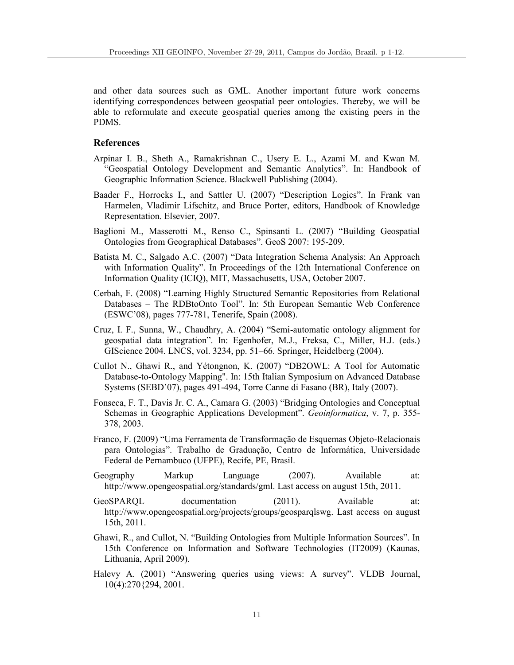and other data sources such as GML. Another important future work concerns identifying correspondences between geospatial peer ontologies. Thereby, we will be able to reformulate and execute geospatial queries among the existing peers in the PDMS.

## **References**

- Arpinar I. B., Sheth A., Ramakrishnan C., Usery E. L., Azami M. and Kwan M. "Geospatial Ontology Development and Semantic Analytics". In: Handbook of Geographic Information Science. Blackwell Publishing (2004).
- Baader F., Horrocks I., and Sattler U. (2007) "Description Logics". In Frank van Harmelen, Vladimir Lifschitz, and Bruce Porter, editors, Handbook of Knowledge Representation. Elsevier, 2007.
- Baglioni M., Masserotti M., Renso C., Spinsanti L. (2007) "Building Geospatial Ontologies from Geographical Databases". GeoS 2007: 195-209.
- Batista M. C., Salgado A.C. (2007) "Data Integration Schema Analysis: An Approach with Information Quality". In Proceedings of the 12th International Conference on Information Quality (ICIQ), MIT, Massachusetts, USA, October 2007.
- Cerbah, F. (2008) "Learning Highly Structured Semantic Repositories from Relational Databases – The RDBtoOnto Tool". In: 5th European Semantic Web Conference (ESWC'08), pages 777-781, Tenerife, Spain (2008).
- Cruz, I. F., Sunna, W., Chaudhry, A. (2004) "Semi-automatic ontology alignment for geospatial data integration". In: Egenhofer, M.J., Freksa, C., Miller, H.J. (eds.) GIScience 2004. LNCS, vol. 3234, pp. 51–66. Springer, Heidelberg (2004).
- Cullot N., Ghawi R., and Yétongnon, K. (2007) "DB2OWL: A Tool for Automatic Database-to-Ontology Mapping". In: 15th Italian Symposium on Advanced Database Systems (SEBD'07), pages 491-494, Torre Canne di Fasano (BR), Italy (2007).
- Fonseca, F. T., Davis Jr. C. A., Camara G. (2003) "Bridging Ontologies and Conceptual Schemas in Geographic Applications Development". *Geoinformatica*, v. 7, p. 355- 378, 2003.
- Franco, F. (2009) "Uma Ferramenta de Transformação de Esquemas Objeto-Relacionais para Ontologias". Trabalho de Graduação, Centro de Informática, Universidade Federal de Pernambuco (UFPE), Recife, PE, Brasil.
- Geography Markup Language (2007). Available at: http://www.opengeospatial.org/standards/gml. Last access on august 15th, 2011.
- GeoSPARQL documentation (2011). Available at: http://www.opengeospatial.org/projects/groups/geosparqlswg. Last access on august 15th, 2011.
- Ghawi, R., and Cullot, N. "Building Ontologies from Multiple Information Sources". In 15th Conference on Information and Software Technologies (IT2009) (Kaunas, Lithuania, April 2009).
- Halevy A. (2001) "Answering queries using views: A survey". VLDB Journal, 10(4):270{294, 2001.